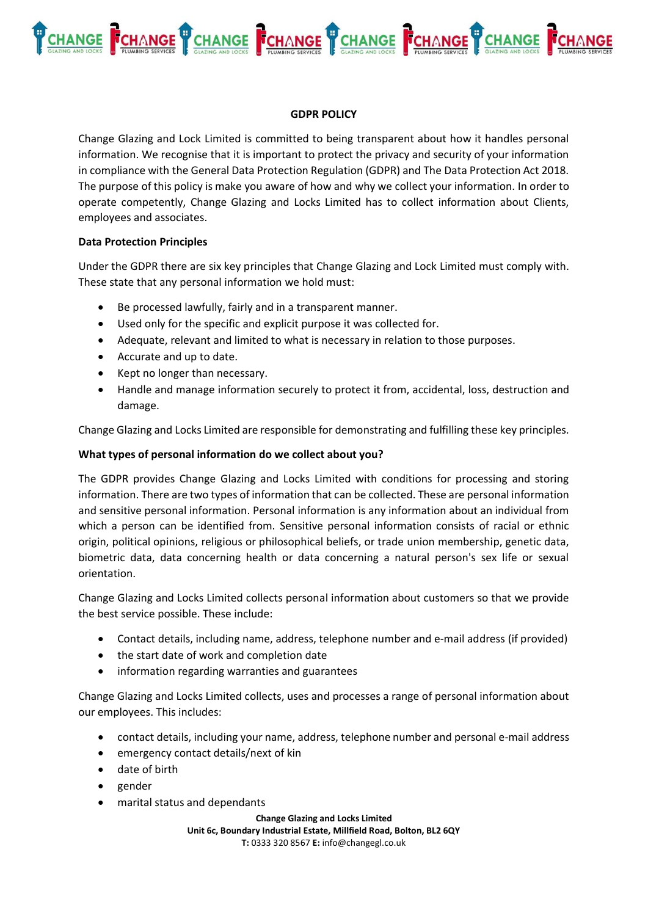

### **GDPR POLICY**

Change Glazing and Lock Limited is committed to being transparent about how it handles personal information. We recognise that it is important to protect the privacy and security of your information in compliance with the General Data Protection Regulation (GDPR) and The Data Protection Act 2018. The purpose of this policy is make you aware of how and why we collect your information. In order to operate competently, Change Glazing and Locks Limited has to collect information about Clients, employees and associates.

### **Data Protection Principles**

Under the GDPR there are six key principles that Change Glazing and Lock Limited must comply with. These state that any personal information we hold must:

- Be processed lawfully, fairly and in a transparent manner.
- Used only for the specific and explicit purpose it was collected for.
- Adequate, relevant and limited to what is necessary in relation to those purposes.
- Accurate and up to date.
- Kept no longer than necessary.
- Handle and manage information securely to protect it from, accidental, loss, destruction and damage.

Change Glazing and Locks Limited are responsible for demonstrating and fulfilling these key principles.

### **What types of personal information do we collect about you?**

The GDPR provides Change Glazing and Locks Limited with conditions for processing and storing information. There are two types of information that can be collected. These are personal information and sensitive personal information. Personal information is any information about an individual from which a person can be identified from. Sensitive personal information consists of racial or ethnic origin, political opinions, religious or philosophical beliefs, or trade union membership, genetic data, biometric data, data concerning health or data concerning a natural person's sex life or sexual orientation.

Change Glazing and Locks Limited collects personal information about customers so that we provide the best service possible. These include:

- Contact details, including name, address, telephone number and e-mail address (if provided)
- the start date of work and completion date
- information regarding warranties and guarantees

Change Glazing and Locks Limited collects, uses and processes a range of personal information about our employees. This includes:

- contact details, including your name, address, telephone number and personal e-mail address
- emergency contact details/next of kin
- date of birth
- gender
- marital status and dependants

**Change Glazing and Locks Limited Unit 6c, Boundary Industrial Estate, Millfield Road, Bolton, BL2 6QY T:** 0333 320 8567 **E:** info@changegl.co.uk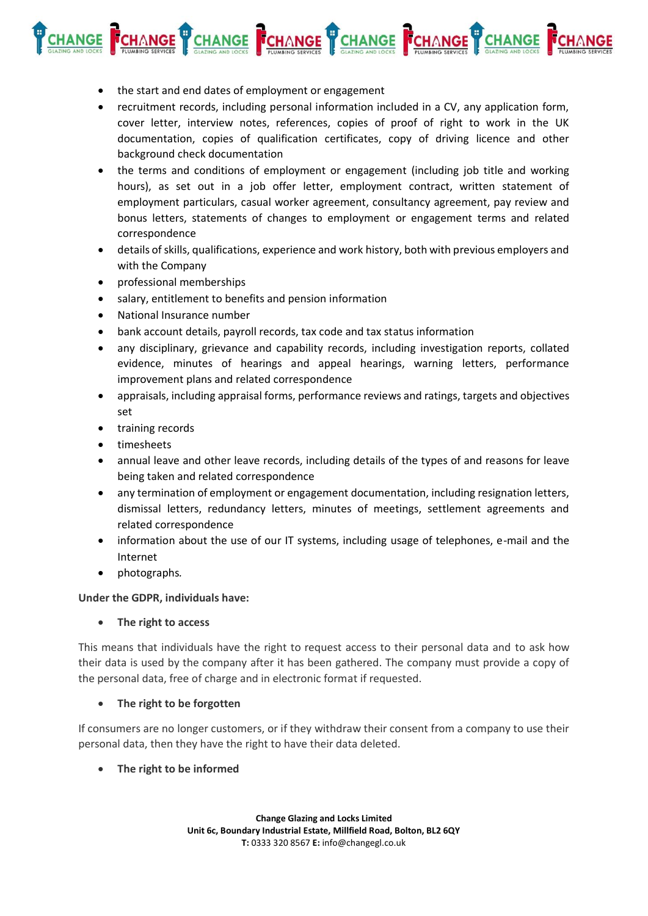

- the start and end dates of employment or engagement
- recruitment records, including personal information included in a CV, any application form, cover letter, interview notes, references, copies of proof of right to work in the UK documentation, copies of qualification certificates, copy of driving licence and other background check documentation
- the terms and conditions of employment or engagement (including job title and working hours), as set out in a job offer letter, employment contract, written statement of employment particulars, casual worker agreement, consultancy agreement, pay review and bonus letters, statements of changes to employment or engagement terms and related correspondence
- details of skills, qualifications, experience and work history, both with previous employers and with the Company
- professional memberships
- salary, entitlement to benefits and pension information
- National Insurance number
- bank account details, payroll records, tax code and tax status information
- any disciplinary, grievance and capability records, including investigation reports, collated evidence, minutes of hearings and appeal hearings, warning letters, performance improvement plans and related correspondence
- appraisals, including appraisal forms, performance reviews and ratings, targets and objectives set
- training records
- timesheets
- annual leave and other leave records, including details of the types of and reasons for leave being taken and related correspondence
- any termination of employment or engagement documentation, including resignation letters, dismissal letters, redundancy letters, minutes of meetings, settlement agreements and related correspondence
- information about the use of our IT systems, including usage of telephones, e-mail and the Internet
- photographs*.*

### **Under the GDPR, individuals have:**

• **The right to access**

This means that individuals have the right to request access to their personal data and to ask how their data is used by the company after it has been gathered. The company must provide a copy of the personal data, free of charge and in electronic format if requested.

### • **The right to be forgotten**

If consumers are no longer customers, or if they withdraw their consent from a company to use their personal data, then they have the right to have their data deleted.

• **The right to be informed**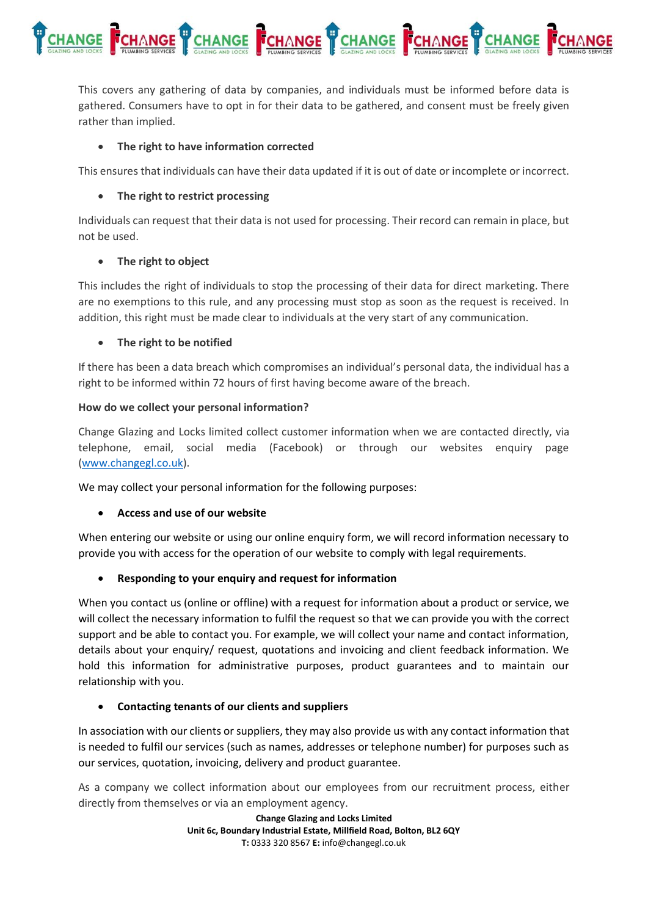

This covers any gathering of data by companies, and individuals must be informed before data is gathered. Consumers have to opt in for their data to be gathered, and consent must be freely given rather than implied.

# • **The right to have information corrected**

This ensures that individuals can have their data updated if it is out of date or incomplete or incorrect.

# • **The right to restrict processing**

Individuals can request that their data is not used for processing. Their record can remain in place, but not be used.

# • **The right to object**

This includes the right of individuals to stop the processing of their data for direct marketing. There are no exemptions to this rule, and any processing must stop as soon as the request is received. In addition, this right must be made clear to individuals at the very start of any communication.

# • **The right to be notified**

If there has been a data breach which compromises an individual's personal data, the individual has a right to be informed within 72 hours of first having become aware of the breach.

# **How do we collect your personal information?**

Change Glazing and Locks limited collect customer information when we are contacted directly, via telephone, email, social media (Facebook) or through our websites enquiry page [\(www.changegl.co.uk\)](http://www.changegl.co.uk/).

We may collect your personal information for the following purposes:

# • **Access and use of our website**

When entering our website or using our online enquiry form, we will record information necessary to provide you with access for the operation of our website to comply with legal requirements.

# • **Responding to your enquiry and request for information**

When you contact us (online or offline) with a request for information about a product or service, we will collect the necessary information to fulfil the request so that we can provide you with the correct support and be able to contact you. For example, we will collect your name and contact information, details about your enquiry/ request, quotations and invoicing and client feedback information. We hold this information for administrative purposes, product guarantees and to maintain our relationship with you.

### • **Contacting tenants of our clients and suppliers**

In association with our clients or suppliers, they may also provide us with any contact information that is needed to fulfil our services (such as names, addresses or telephone number) for purposes such as our services, quotation, invoicing, delivery and product guarantee.

As a company we collect information about our employees from our recruitment process, either directly from themselves or via an employment agency.

> **Change Glazing and Locks Limited Unit 6c, Boundary Industrial Estate, Millfield Road, Bolton, BL2 6QY T:** 0333 320 8567 **E:** info@changegl.co.uk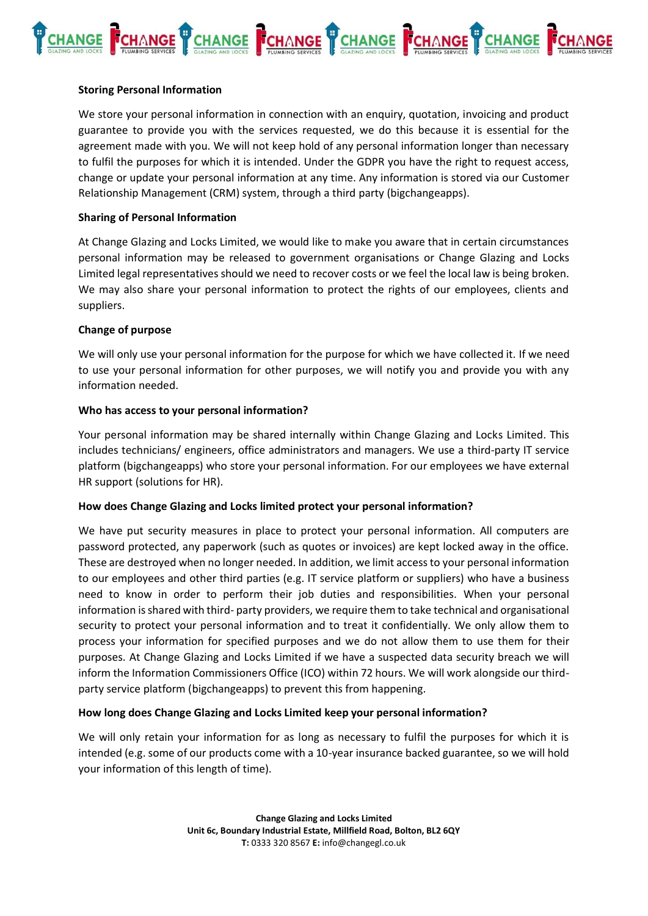

### **Storing Personal Information**

We store your personal information in connection with an enquiry, quotation, invoicing and product guarantee to provide you with the services requested, we do this because it is essential for the agreement made with you. We will not keep hold of any personal information longer than necessary to fulfil the purposes for which it is intended. Under the GDPR you have the right to request access, change or update your personal information at any time. Any information is stored via our Customer Relationship Management (CRM) system, through a third party (bigchangeapps).

#### **Sharing of Personal Information**

At Change Glazing and Locks Limited, we would like to make you aware that in certain circumstances personal information may be released to government organisations or Change Glazing and Locks Limited legal representatives should we need to recover costs or we feel the local law is being broken. We may also share your personal information to protect the rights of our employees, clients and suppliers.

#### **Change of purpose**

We will only use your personal information for the purpose for which we have collected it. If we need to use your personal information for other purposes, we will notify you and provide you with any information needed.

#### **Who has access to your personal information?**

Your personal information may be shared internally within Change Glazing and Locks Limited. This includes technicians/ engineers, office administrators and managers. We use a third-party IT service platform (bigchangeapps) who store your personal information. For our employees we have external HR support (solutions for HR).

### **How does Change Glazing and Locks limited protect your personal information?**

We have put security measures in place to protect your personal information. All computers are password protected, any paperwork (such as quotes or invoices) are kept locked away in the office. These are destroyed when no longer needed. In addition, we limit access to your personal information to our employees and other third parties (e.g. IT service platform or suppliers) who have a business need to know in order to perform their job duties and responsibilities. When your personal information is shared with third- party providers, we require them to take technical and organisational security to protect your personal information and to treat it confidentially. We only allow them to process your information for specified purposes and we do not allow them to use them for their purposes. At Change Glazing and Locks Limited if we have a suspected data security breach we will inform the Information Commissioners Office (ICO) within 72 hours. We will work alongside our thirdparty service platform (bigchangeapps) to prevent this from happening.

### **How long does Change Glazing and Locks Limited keep your personal information?**

We will only retain your information for as long as necessary to fulfil the purposes for which it is intended (e.g. some of our products come with a 10-year insurance backed guarantee, so we will hold your information of this length of time).